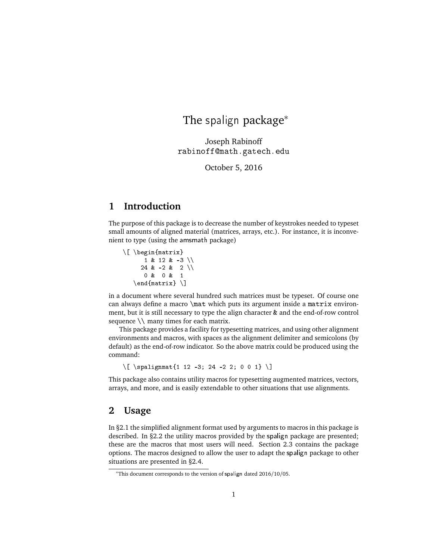# The spalign package<sup>\*</sup>

Joseph Rabinoff rabinoff@math.gatech.edu

October 5, 2016

# **1 Introduction**

The purpose of this package is to decrease the number of keystrokes needed to typeset small amounts of aligned material (matrices, arrays, etc.). For instance, it is inconvenient to type (using the amsmath package)

\[ \begin{matrix}  $1 \& 12 \& -3 \ \n\vee$ 24 &  $-2$  & 2 \\ 0 & 0 & 1  $\end{matrix} \$ 

in a document where several hundred such matrices must be typeset. Of course one can always define a macro \mat which puts its argument inside a matrix environment, but it is still necessary to type the align character & and the end-of-row control sequence  $\setminus$  many times for each matrix.

This package provides a facility for typesetting matrices, and using other alignment environments and macros, with spaces as the alignment delimiter and semicolons (by default) as the end-of-row indicator. So the above matrix could be produced using the command:

 $\{ \$  \spalignmat{1 12 -3; 24 -2 2; 0 0 1} \]

This package also contains utility macros for typesetting augmented matrices, vectors, arrays, and more, and is easily extendable to other situations that use alignments.

# **2 Usage**

In §2.1 the simplified alignment format used by arguments to macros in this package is described. In §2.2 the utility macros provided by the spalign package are presented; these are the macros that most users will need. Section 2.3 contains the package options. The macros designed to allow the user to adapt the spalign package to other situations are presented in §2.4.

<sup>∗</sup>This document corresponds to the version of spalign dated 2016/10/05.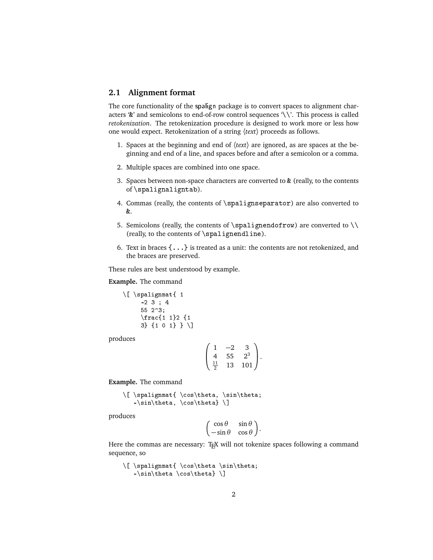## **2.1 Alignment format**

The core functionality of the spalign package is to convert spaces to alignment characters '&' and semicolons to end-of-row control sequences '\\'. This process is called *retokenization*. The retokenization procedure is designed to work more or less how one would expect. Retokenization of a string 〈*text*〉 proceeds as follows.

- 1. Spaces at the beginning and end of 〈*text*〉 are ignored, as are spaces at the beginning and end of a line, and spaces before and after a semicolon or a comma.
- 2. Multiple spaces are combined into one space.
- 3. Spaces between non-space characters are converted to & (really, to the contents of \spalignaligntab).
- 4. Commas (really, the contents of \spalignseparator) are also converted to &.
- 5. Semicolons (really, the contents of \spalignendofrow) are converted to  $\setminus$ (really, to the contents of \spalignendline).
- 6. Text in braces {...} is treated as a unit: the contents are not retokenized, and the braces are preserved.

These rules are best understood by example.

#### **Example.** The command

```
\[ \spalignmat{ 1
    -2 3 ; 4
     55 2^3;
     \frac{1 1}2 {1
    3} {1 0 1} } \]
```
produces

$$
\left(\begin{array}{ccc} 1 & -2 & 3 \\ 4 & 55 & 2^3 \\ \frac{11}{2} & 13 & 101 \end{array}\right).
$$

**Example.** The command

\[ \spalignmat{ \cos\theta, \sin\theta; -\sin\theta, \cos\theta} \]

produces

$$
\begin{pmatrix}\n\cos\theta & \sin\theta \\
-\sin\theta & \cos\theta\n\end{pmatrix}.
$$

Here the commas are necessary: TEX will not tokenize spaces following a command sequence, so

```
\[ \spalignmat{ \cos\theta \sin\theta;
  -\sin\theta \cos\theta]
```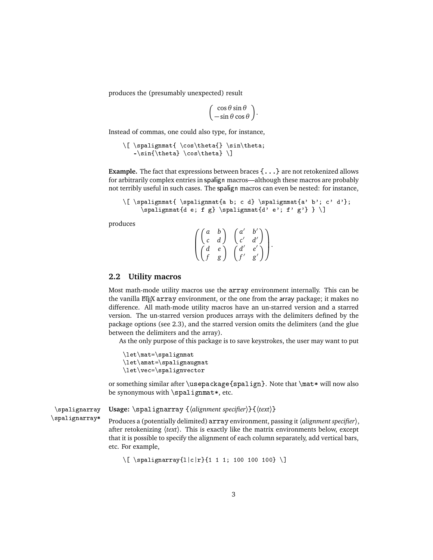produces the (presumably unexpected) result

$$
\begin{pmatrix}\n\cos\theta\sin\theta \\
-\sin\theta\cos\theta\n\end{pmatrix}.
$$

Instead of commas, one could also type, for instance,

```
\[\ \ \spalignmat{ \cos\theta{} \sin\theta;
   -\sin{\theta} \cos{\theta} \
```
**Example.** The fact that expressions between braces {...} are not retokenized allows for arbitrarily complex entries in spalign macros—although these macros are probably not terribly useful in such cases. The spalign macros can even be nested: for instance,

```
\[ \spalignmat{ \spalignmat{a b; c d} \spalignmat{a' b'; c' d'};
     \sigma \spalignmat{d e; f g} \spalignmat{d' e'; f' g'} } \]
```
produces

 $\sqrt{ }$  $\mathbf{I}$  $\begin{pmatrix} a & b \\ c & d \end{pmatrix}$   $\begin{pmatrix} a' & b' \\ c' & d' \end{pmatrix}$ *d'* d')  $\begin{pmatrix} d & e \\ f & g \end{pmatrix}$   $\begin{pmatrix} d' & e' \\ f' & g' \end{pmatrix}$ d'e')<br>f'g') λ  $\vert \cdot$ 

## **2.2 Utility macros**

Most math-mode utility macros use the array environment internally. This can be the vanilla ET<sub>E</sub>X array environment, or the one from the array package; it makes no difference. All math-mode utility macros have an un-starred version and a starred version. The un-starred version produces arrays with the delimiters defined by the package options (see 2.3), and the starred version omits the delimiters (and the glue between the delimiters and the array).

As the only purpose of this package is to save keystrokes, the user may want to put

```
\let\mat=\spalignmat
\let\amat=\spalignaugmat
\let\vec=\spalignvector
```
or something similar after \usepackage{spalign}. Note that \mat\* will now also be synonymous with  $\sigma$ t ignmat\*, etc.

\spalignarray **Usage:** \spalignarray {〈*alignment specifier*〉}{〈*text*〉}

\spalignarray\* Produces a (potentially delimited) array environment, passing it〈*alignment specifier*〉, after retokenizing 〈*text*〉. This is exactly like the matrix environments below, except that it is possible to specify the alignment of each column separately, add vertical bars, etc. For example,

```
\[\ \{ \ \spalignarray{l|c|r}{1 1 1; 100 100 100} \]
```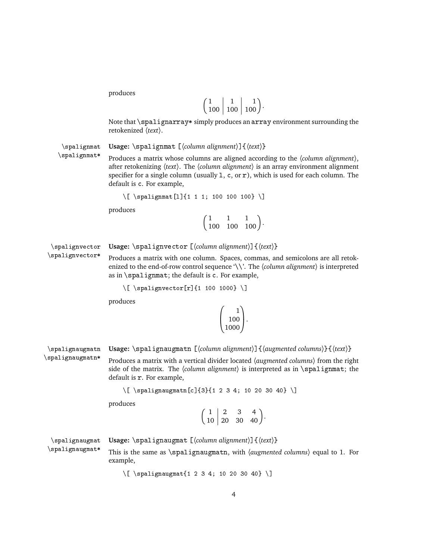| $100 \mid 100 \mid 100$ |  |
|-------------------------|--|

Note that \spalignarray\* simply produces an array environment surrounding the retokenized 〈*text*〉.

\spalignmat **Usage:** \spalignmat [〈*column alignment*〉]{〈*text*〉}

\spalignmat\* Produces a matrix whose columns are aligned according to the 〈*column alignment*〉, after retokenizing 〈*text*〉. The 〈*column alignment*〉 is an array environment alignment specifier for a single column (usually  $1, c,$  or  $r$ ), which is used for each column. The default is c. For example,

```
\[ \spalignmat[l]{1 1 1; 100 100 100} \]
```
produces

 $\begin{pmatrix} 1 & 1 & 1 \\ 100 & 100 & 100 \end{pmatrix}$ .

\spalignvector **Usage:** \spalignvector [〈*column alignment*〉]{〈*text*〉}

\spalignvector\* Produces a matrix with one column. Spaces, commas, and semicolons are all retokenized to the end-of-row control sequence '\\'. The 〈*column alignment*〉 is interpreted as in \spalignmat; the default is c. For example,

```
\{ \ \spalignvector[r]{1 100 1000} \]
```
produces

| 100  |  |
|------|--|
| 1000 |  |

\spalignaugmatn **Usage:** \spalignaugmatn [〈*column alignment*〉]{〈*augmented columns*〉}{〈*text*〉}

\spalignaugmatn\* Produces a matrix with a vertical divider located 〈*augmented columns*〉 from the right side of the matrix. The  $\langle$ *column alignment* $\rangle$  is interpreted as in  $\sum_{s}$  interpreted as in  $\sum_{s}$ default is r. For example,

\[ \spalignaugmatn[c]{3}{1 2 3 4; 10 20 30 40} \]

produces

 $\begin{pmatrix} 1 & 2 & 3 & 4 \\ 10 & 20 & 30 & 40 \end{pmatrix}$ .

\spalignaugmat **Usage:** \spalignaugmat [〈*column alignment*〉]{〈*text*〉} \spalignaugmat\* This is the same as \spalignaugmatn, with 〈*augmented columns*〉 equal to 1. For example,

\[ \spalignaugmat{1 2 3 4; 10 20 30 40} \]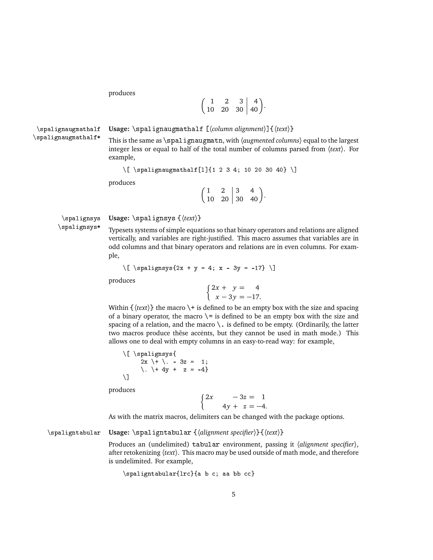$$
\left(\begin{array}{ccc|c}1 & 2 & 3 & 4\\10 & 20 & 30 & 40\end{array}\right).
$$

\spalignaugmathalf **Usage:** \spalignaugmathalf [〈*column alignment*〉]{〈*text*〉}

\spalignaugmathalf\* This is the same as \spalignaugmatn, with 〈*augmented columns*〉 equal to the largest integer less or equal to half of the total number of columns parsed from 〈*text*〉. For example,

```
\[\ \{ \ \spalignaugmathalf[l]{1 2 3 4; 10 20 30 40} \]
```
produces

 $\begin{pmatrix} 1 & 2 & 3 & 4 \\ 10 & 20 & 30 & 40 \end{pmatrix}$ .

```
\spalignsys Usage: \spalignsys {〈text〉}
```
\spalignsys\* Typesets systems of simple equations so that binary operators and relations are aligned vertically, and variables are right-justified. This macro assumes that variables are in odd columns and that binary operators and relations are in even columns. For example,

$$
\[\bigcap_{s \in \mathbb{Z}} s(s) = 4; x - 3y = -17\}\]
$$

produces

 $\int 2x + y = 4$  $x - 3y = -17.$ 

Within  $\{\langle text \rangle\}$  the macro  $\setminus +$  is defined to be an empty box with the size and spacing of a binary operator, the macro  $\geq$  is defined to be an empty box with the size and spacing of a relation, and the macro  $\setminus$ . is defined to be empty. (Ordinarily, the latter two macros produce thēse accents, but they cannot be used in math mode.) This allows one to deal with empty columns in an easy-to-read way: for example,

\[ \spalignsys{  $2x$   $\rightarrow$   $\rightarrow$   $3z = 1$ ; \. \ + 4y + z = -4}  $\lambda$ ]

produces

 $\int 2x - 3z = 1$  $4y + z = -4$ .

As with the matrix macros, delimiters can be changed with the package options.

\spaligntabular **Usage:** \spaligntabular {〈*alignment specifier*〉}{〈*text*〉}

Produces an (undelimited) tabular environment, passing it 〈*alignment specifier*〉, after retokenizing 〈*text*〉. This macro may be used outside of math mode, and therefore is undelimited. For example,

\spaligntabular{lrc}{a b c; aa bb cc}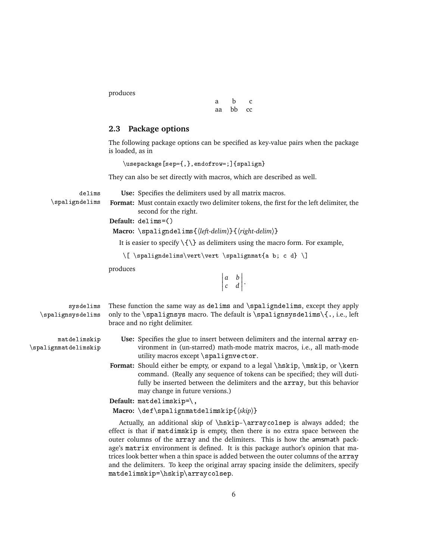| я  | h  | T.        |
|----|----|-----------|
| аа | bb | <b>CC</b> |

# **2.3 Package options**

The following package options can be specified as key-value pairs when the package is loaded, as in

\usepackage[sep={,},endofrow=;]{spalign}

They can also be set directly with macros, which are described as well.

delims **Use:** Specifies the delimiters used by all matrix macros.

\spaligndelims **Format:** Must contain exactly two delimiter tokens, the first for the left delimiter, the second for the right.

**Default:** delims=()

**Macro:** \spaligndelims{〈*left-delim*〉}{〈*right-delim*〉}

It is easier to specify  $\{\{\}$  as delimiters using the macro form. For example,

\[ \spaligndelims\vert\vert \spalignmat{a b; c d} \]

produces

 $\begin{array}{c} \begin{array}{c} \begin{array}{c} \end{array}\\ \begin{array}{c} \end{array} \end{array} \end{array}$ *a b c d*  $\begin{array}{c} \begin{array}{c} \begin{array}{c} \begin{array}{c} \end{array}\\ \end{array} \end{array} \end{array}$ .

- sysdelims These function the same way as delims and \spaligndelims, except they apply \spalignsysdelims only to the \spalignsys macro. The default is \spalignsysdelims\{., i.e., left brace and no right delimiter.
- 
- matdelimskip **Use:** Specifies the glue to insert between delimiters and the internal array en- \spalignmatdelimskip vironment in (un-starred) math-mode matrix macros, i.e., all math-mode utility macros except \spalignvector.
	- **Format:** Should either be empty, or expand to a legal \hskip, \mskip, or \kern command. (Really any sequence of tokens can be specified; they will dutifully be inserted between the delimiters and the array, but this behavior may change in future versions.)

**Default:** matdelimskip=\,

**Macro:** \def\spalignmatdelimskip{〈*skip*〉}

Actually, an additional skip of \hskip-\arraycolsep is always added; the effect is that if matdimskip is empty, then there is no extra space between the outer columns of the array and the delimiters. This is how the amsmath package's matrix environment is defined. It is this package author's opinion that matrices look better when a thin space is added between the outer columns of the array and the delimiters. To keep the original array spacing inside the delimiters, specify matdelimskip=\hskip\arraycolsep.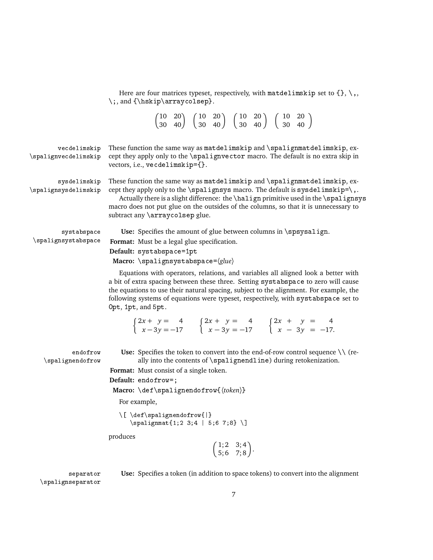|                                      | Here are four matrices typeset, respectively, with matdelimskip set to $\{\}, \setminus,$<br>$\i,$ and { $\hbox{\tt kkip\arrow}$ arraycolsep}.                                                                                                                                                                                                                                                             |
|--------------------------------------|------------------------------------------------------------------------------------------------------------------------------------------------------------------------------------------------------------------------------------------------------------------------------------------------------------------------------------------------------------------------------------------------------------|
|                                      | $\begin{pmatrix} 10 & 20 \\ 30 & 40 \end{pmatrix}$ $\begin{pmatrix} 10 & 20 \\ 30 & 40 \end{pmatrix}$ $\begin{pmatrix} 10 & 20 \\ 30 & 40 \end{pmatrix}$ $\begin{pmatrix} 10 & 20 \\ 30 & 40 \end{pmatrix}$                                                                                                                                                                                                |
| vecdelimskip<br>\spalignvecdelimskip | These function the same way as matdelimskip and \spalignmatdelimskip, ex-<br>cept they apply only to the \spalignvector macro. The default is no extra skip in<br>vectors, i.e., vecdelimskip={}.                                                                                                                                                                                                          |
| sysdelimskip<br>\spalignsysdelimskip | These function the same way as matdelimskip and \spalignmatdelimskip, ex-<br>cept they apply only to the $\spadesuit$ and $\spadesuit$ macro. The default is sysdelimskip= $\gtsuit$ ,.<br>Actually there is a slight difference: the \halign primitive used in the \spalignsys<br>macro does not put glue on the outsides of the columns, so that it is unnecessary to<br>subtract any \arraycolsep glue. |
| systabspace<br>\spalignsystabspace   | Use: Specifies the amount of glue between columns in \spsysalign.<br>Format: Must be a legal glue specification.<br>Default: systabspace=1pt<br>Macro: $\sqrt{spalignsystabspace}$ /spalignsystabspace= $\langle$ <i>glue</i> $\rangle$                                                                                                                                                                    |
|                                      | Equations with operators, relations, and variables all aligned look a better with<br>a bit of extra spacing between these three. Setting systabspace to zero will cause<br>the equations to use their natural spacing, subject to the alignment. For example, the<br>following systems of equations were typeset, respectively, with systabspace set to<br>Opt, 1pt, and 5pt.                              |
|                                      | $\begin{cases} 2x + y = 4 \\ x - 3y = -17 \end{cases}$ $\begin{cases} 2x + y = 4 \\ x - 3y = -17 \end{cases}$ $\begin{cases} 2x + y = 4 \\ x - 3y = -17 \end{cases}$                                                                                                                                                                                                                                       |
| endofrow<br>\spalignendofrow         | Use: Specifies the token to convert into the end-of-row control sequence $\setminus \setminus$ (re-<br>ally into the contents of \spalignendline) during retokenization.<br>Format: Must consist of a single token.<br>Default: endofrow=;<br>Macro: $\det \sigma$ ignendofrow $\{ (token) \}$<br>For example,<br>\[\def\spalignendofrow{ }<br>$\sqrt{1;23;4  5;67;8} \$                                   |
|                                      | produces<br>$\begin{pmatrix} 1; 2 & 3; 4 \\ 5; 6 & 7; 8 \end{pmatrix}$ .                                                                                                                                                                                                                                                                                                                                   |
| separator<br>\spalignseparator       | Use: Specifies a token (in addition to space tokens) to convert into the alignment                                                                                                                                                                                                                                                                                                                         |

7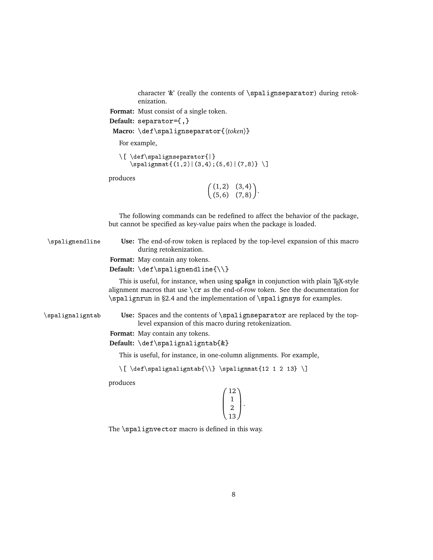character '&' (really the contents of \spalignseparator) during retokenization.

**Format:** Must consist of a single token.

```
Default: separator={,}
```

```
Macro: \def\spalignseparator{〈token〉}
```
For example,

```
\[ \def\spalignseparator{|}
  \sigma(f(1,2)|(3,4);(5,6)|(7,8))
```
produces

 $(1, 2)$   $(3, 4)$  $(5, 6)$   $(7, 8)$ .

The following commands can be redefined to affect the behavior of the package, but cannot be specified as key-value pairs when the package is loaded.

\spalignendline **Use:** The end-of-row token is replaced by the top-level expansion of this macro during retokenization.

**Format:** May contain any tokens.

**Default:** \def\spalignendline{\\}

This is useful, for instance, when using spalign in conjunction with plain TEX-style alignment macros that use  $\csc$  as the end-of-row token. See the documentation for \spalignrun in §2.4 and the implementation of \spalignsys for examples.

\spalignaligntab **Use:** Spaces and the contents of \spalignseparator are replaced by the toplevel expansion of this macro during retokenization.

**Format:** May contain any tokens.

**Default:** \def\spalignaligntab{&}

This is useful, for instance, in one-column alignments. For example,

 $\{ \delta \} \$ 

produces

| 12 |
|----|
|    |
|    |
| 13 |

The \spalignvector macro is defined in this way.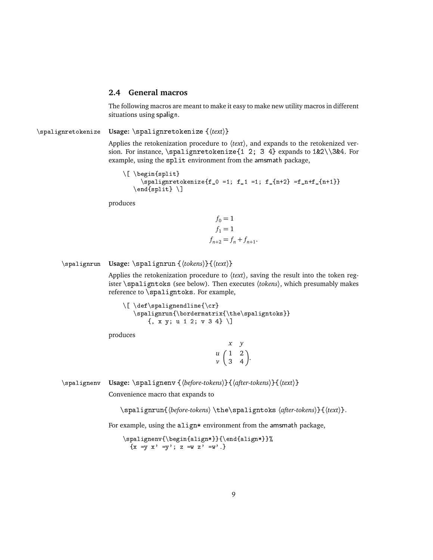### **2.4 General macros**

The following macros are meant to make it easy to make new utility macros in different situations using spalign.

\spalignretokenize **Usage:** \spalignretokenize {〈*text*〉}

Applies the retokenization procedure to 〈*text*〉, and expands to the retokenized version. For instance, \spalignretokenize{1 2; 3 4} expands to 1&2\\3&4. For example, using the split environment from the amsmath package,

```
\[ \begin{split}
     \pi| \spalignretokenize{f_0 =1; f_1 =1; f_{n+2} =f_n+f_{n+1}}
   \end{split} \]
```
produces

$$
f_0 = 1
$$
  
\n
$$
f_1 = 1
$$
  
\n
$$
f_{n+2} = f_n + f_{n+1}.
$$

#### \spalignrun **Usage:** \spalignrun {〈*tokens*〉}{〈*text*〉}

Applies the retokenization procedure to 〈*text*〉, saving the result into the token register \spaligntoks (see below). Then executes 〈*tokens*〉, which presumably makes reference to \spaligntoks. For example,

```
\{ \c{ \} \}\spalignrun{\bordermatrix{\the\spaligntoks}}
     {, x y; u 1 2; v 3 4} \]
```
produces

|                    |               | y                                      |
|--------------------|---------------|----------------------------------------|
| $\mathfrak u$      | $\left($<br>1 | $\overline{2}$                         |
| $\boldsymbol{\nu}$ | $\mathbf{3}$  | $\begin{matrix} 2 \\ 4 \end{matrix}$ . |

\spalignenv **Usage:** \spalignenv {〈*before-tokens*〉}{〈*after-tokens*〉}{〈*text*〉}

Convenience macro that expands to

\spalignrun{〈*before-tokens*〉 \the\spaligntoks 〈*after-tokens*〉}{〈*text*〉}.

For example, using the align\* environment from the amsmath package,

\spalignenv{\begin{align\*}}{\end{align\*}}%  ${x = y x' = y'; z = w z' = w'.}$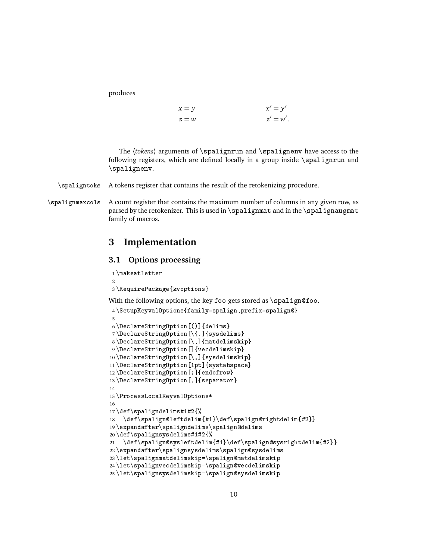$$
x = y
$$
  
\n
$$
z = w
$$
  
\n
$$
x' = y'
$$
  
\n
$$
z' = w'
$$

The 〈*tokens*〉 arguments of \spalignrun and \spalignenv have access to the following registers, which are defined locally in a group inside \spalignrun and \spalignenv.

#### \spaligntoks A tokens register that contains the result of the retokenizing procedure.

\spalignmaxcols A count register that contains the maximum number of columns in any given row, as parsed by the retokenizer. This is used in \spalignmat and in the \spalignaugmat family of macros.

# **3 Implementation**

# **3.1 Options processing**

```
1 \makeatletter
\overline{2}3 \RequirePackage{kvoptions}
With the following options, the key foo gets stored as \sigma.
4 \SetupKeyvalOptions{family=spalign,prefix=spalign@}
5
6 \DeclareStringOption[()]{delims}
7 \DeclareStringOption[\{.]{sysdelims}
8 \DeclareStringOption[\,]{matdelimskip}
9 \DeclareStringOption[]{vecdelimskip}
10 \DeclareStringOption[\,]{sysdelimskip}
11 \DeclareStringOption[1pt]{systabspace}
12 \DeclareStringOption[;]{endofrow}
13 \DeclareStringOption[,]{separator}
14
15 \ProcessLocalKeyvalOptions*
16
17 \def\spaligndelims#1#2{%
18 \def\spalign@leftdelim{#1}\def\spalign@rightdelim{#2}}
19 \expandafter\spaligndelims\spalign@delims
20 \def\spalignsysdelims#1#2{%
21 \def\spalign@sysleftdelim{#1}\def\spalign@sysrightdelim{#2}}
22 \expandafter\spalignsysdelims\spalign@sysdelims
23 \let\spalignmatdelimskip=\spalign@matdelimskip
24 \let\spalignvecdelimskip=\spalign@vecdelimskip
25 \let\spalignsysdelimskip=\spalign@sysdelimskip
```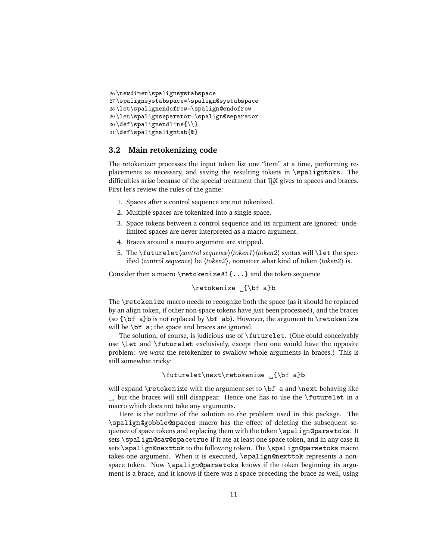```
26 \newdimen\spalignsystabspace
27 \spalignsystabspace=\spalign@systabspace
28 \let\spalignendofrow=\spalign@endofrow
29 \let\spalignseparator=\spalign@separator
30 \def\spalignendline{\\}
31 \def\spalignaligntab{&}
```
### **3.2 Main retokenizing code**

The retokenizer processes the input token list one "item" at a time, performing replacements as necessary, and saving the resulting tokens in \spaligntoks. The difficulties arise because of the special treatment that T<sub>EX</sub> gives to spaces and braces. First let's review the rules of the game:

- 1. Spaces after a control sequence are not tokenized.
- 2. Multiple spaces are tokenized into a single space.
- 3. Space tokens between a control sequence and its argument are ignored: undelimited spaces are never interpreted as a macro argument.
- 4. Braces around a macro argument are stripped.
- 5. The \futurelet \*control sequence*}\*token1*}\*token2*} syntax will \let the specified 〈*control sequence*〉 be 〈*token2*〉, nomatter what kind of token 〈*token2*〉 is.

Consider then a macro \retokenize#1{...} and the token sequence

\retokenize \_{\bf a}b

The \retokenize macro needs to recognize both the space (as it should be replaced by an align token, if other non-space tokens have just been processed), and the braces (so  ${\bf \hat{b}}$  a) is not replaced by  ${\bf \hat{b}}$  ab). However, the argument to  ${\bf \hat{c}}$ will be \bf a; the space and braces are ignored.

The solution, of course, is judicious use of \futurelet. (One could conceivably use \let and \futurelet exclusively, except then one would have the opposite problem: we *want* the retokenizer to swallow whole arguments in braces.) This is still somewhat tricky:

```
\futurelet\next\retokenize {\bf a}b
```
will expand \retokenize with the argument set to \bf a and \next behaving like , but the braces will still disappear. Hence one has to use the \futurelet in a macro which does not take any arguments.

Here is the outline of the solution to the problem used in this package. The \spalign@gobble@spaces macro has the effect of deleting the subsequent sequence of space tokens and replacing them with the token \spalign@parsetoks. It sets \spalign@saw@spacetrue if it ate at least one space token, and in any case it sets \spalign@nexttok to the following token. The \spalign@parsetoks macro takes one argument. When it is executed, \spalign@nexttok represents a nonspace token. Now \spalign@parsetoks knows if the token beginning its argument is a brace, and it knows if there was a space preceding the brace as well, using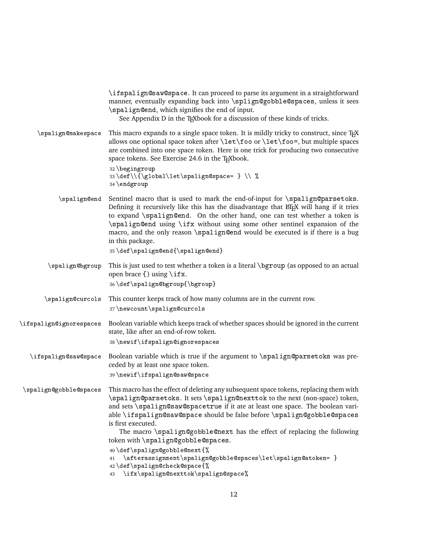|                         | \ifspalign@saw@space. It can proceed to parse its argument in a straightforward<br>manner, eventually expanding back into \splign@gobble@spaces, unless it sees<br>\spalign@end, which signifies the end of input.<br>See Appendix D in the TEX book for a discussion of these kinds of tricks.                                                                                                                                                                              |
|-------------------------|------------------------------------------------------------------------------------------------------------------------------------------------------------------------------------------------------------------------------------------------------------------------------------------------------------------------------------------------------------------------------------------------------------------------------------------------------------------------------|
| \spalign@makespace      | This macro expands to a single space token. It is mildly tricky to construct, since TFX<br>allows one optional space token after \let\foo or \let\foo=, but multiple spaces<br>are combined into one space token. Here is one trick for producing two consecutive<br>space tokens. See Exercise 24.6 in the TEXbook.                                                                                                                                                         |
|                         | 32 \begingroup<br>33\def\\{\global\let\spalign@space= } \\ %<br>34 \endgroup                                                                                                                                                                                                                                                                                                                                                                                                 |
| \spalign@end            | Sentinel macro that is used to mark the end-of-input for \spalign@parsetoks.<br>Defining it recursively like this has the disadvantage that EIFX will hang if it tries<br>to expand \spalign@end. On the other hand, one can test whether a token is<br>\spalign@end using \ifx without using some other sentinel expansion of the<br>macro, and the only reason \spalign@end would be executed is if there is a bug<br>in this package.<br>35\def\spalign@end{\spalign@end} |
| \spalign@bgroup         | This is just used to test whether a token is a literal \bgroup (as opposed to an actual<br>open brace {) using \ifx.                                                                                                                                                                                                                                                                                                                                                         |
| \spalign@curcols        | 36\def\spalign@bgroup{\bgroup}<br>This counter keeps track of how many columns are in the current row.<br>37\newcount\spalign@curcols                                                                                                                                                                                                                                                                                                                                        |
| \ifspalign@ignorespaces | Boolean variable which keeps track of whether spaces should be ignored in the current<br>state, like after an end-of-row token.<br>38\newif\ifspalign@ignorespaces                                                                                                                                                                                                                                                                                                           |
| \ifspalign@saw@space    | Boolean variable which is true if the argument to \spalign@parsetoks was pre-<br>ceded by at least one space token.<br>39 \newif \ifspalign@saw@space                                                                                                                                                                                                                                                                                                                        |
| \spalign@gobble@spaces  | This macro has the effect of deleting any subsequent space tokens, replacing them with<br>\spalign@parsetoks. It sets \spalign@nexttok to the next (non-space) token,<br>and sets \spalign@saw@spacetrue if it ate at least one space. The boolean vari-<br>able \ifspalign@saw@space should be false before \spalign@gobble@spaces<br>is first executed.<br>The macro \spalign@gobble@next has the effect of replacing the following<br>token with \spalign@gobble@spaces.  |
|                         | 40\def\spalign@gobble@next{%<br>\afterassignment\spalign@gobble@spaces\let\spalign@atoken= }<br>41<br>42\def\spalign@check@space{%<br>\ifx\spalign@nexttok\spalign@space%<br>43                                                                                                                                                                                                                                                                                              |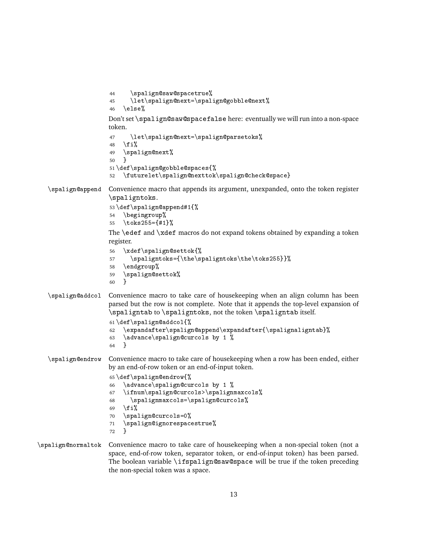```
44 \spalign@saw@spacetrue%
                     45 \let\spalign@next=\spalign@gobble@next%
                     46 \else%
                     Don't set \spalign@saw@spacefalse here: eventually we will run into a non-space
                     token.
                     47 \let\spalign@next=\spalign@parsetoks%
                     48 \fi%
                     49 \spalign@next%
                     50 }
                     51 \def\spalign@gobble@spaces{%
                     52 \futurelet\spalign@nexttok\spalign@check@space}
   \spalign@append Convenience macro that appends its argument, unexpanded, onto the token register
                     \spaligntoks.
                     53 \def\spalign@append#1{%
                     54 \begingroup%
                     55 \toks255={#1}%
                     The \edef and \xdef macros do not expand tokens obtained by expanding a token
                     register.
                     56 \xdef\spalign@settok{%
                     57 \spaligntoks={\the\spaligntoks\the\toks255}}%
                     58 \endgroup%
                     59 \spalign@settok%
                     60 }
   \spalign@addcol Convenience macro to take care of housekeeping when an align column has been
                     parsed but the row is not complete. Note that it appends the top-level expansion of
                     \spaligntab to \spaligntoks, not the token \spaligntab itself.
                     61 \def\spalign@addcol{%
                     62 \expandafter\spalign@append\expandafter{\spalignaligntab}%
                     63 \advance\spalign@curcols by 1 %
                     64 }
   \spalign@endrow Convenience macro to take care of housekeeping when a row has been ended, either
                     by an end-of-row token or an end-of-input token.
                     65 \def\spalign@endrow{%
                     66 \advance\spalign@curcols by 1 %
                     67 \ifnum\spalign@curcols>\spalignmaxcols%
                     68 \spalignmaxcols=\spalign@curcols%
                     69 \overline{\text{f}i}70 \spalign@curcols=0%
                     71 \spalign@ignorespacestrue%
                     72 }
\spalign@normaltok Convenience macro to take care of housekeeping when a non-special token (not a
                     space, end-of-row token, separator token, or end-of-input token) has been parsed.
                     The boolean variable \ifspalign@saw@space will be true if the token preceding
                     the non-special token was a space.
```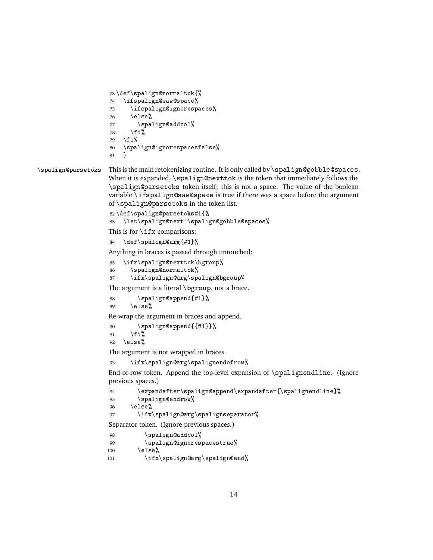```
73 \def\spalign@normaltok{%
74 \ifspalign@saw@space%
75 \ifspalign@ignorespaces%
76 \else%
77 \spalign@addcol%
78 \{f_i\}79 \fi%
80 \spalign@ignorespacesfalse%
81 }
```
# \spalign@parsetoks This is the main retokenizing routine. It is only called by \spalign@gobble@spaces.

When it is expanded, \spalign@nexttok is the token that immediately follows the \spalign@parsetoks token itself; this is not a space. The value of the boolean variable \ifspalign@saw@space is true if there was a space before the argument of \spalign@parsetoks in the token list.

```
82 \def\spalign@parsetoks#1{%
83 \let\spalign@next=\spalign@gobble@spaces%
This is for \iota if x comparisons:
```

```
84 \def\spalign@arg{#1}%
```
Anything in braces is passed through untouched:

```
85 \ifx\spalign@nexttok\bgroup%
```

```
86 \spalign@normaltok%
```

```
87 \ifx\spalign@arg\spalign@bgroup%
```
The argument is a literal \bgroup, not a brace.

```
88 \spalign@append{#1}%
```
89  $\text{else}$ %

Re-wrap the argument in braces and append.

```
90 \spalign@append{{#1}}%
91 \forallfi%
```

```
92 \else%
```
The argument is not wrapped in braces.

```
93 \ifx\spalign@arg\spalignendofrow%
```
End-of-row token. Append the top-level expansion of \spalignendline. (Ignore previous spaces.)

```
94 \expandafter\spalign@append\expandafter{\spalignendline}%
95 \spalign@endrow%
96 \text{else}%
97 \ifx\spalign@arg\spalignseparator%
```
Separator token. (Ignore previous spaces.)

```
98 \spalign@addcol%
99 \spalign@ignorespacestrue%
100 \else%
101 \ifx\spalign@arg\spalign@end%
```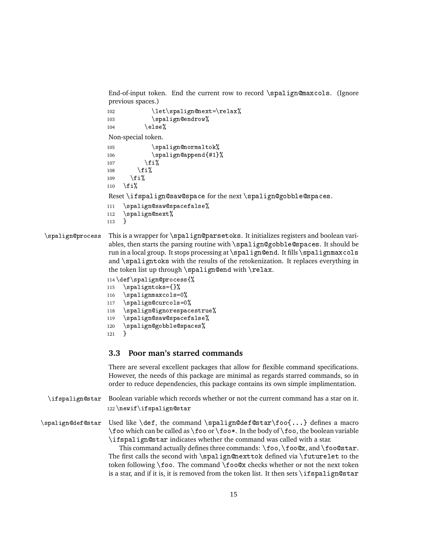End-of-input token. End the current row to record \spalign@maxcols. (Ignore previous spaces.)

```
102 \let\spalign@next=\relax%
103 \spalign@endrow%
104 \qquad \text{else}%
Non-special token.
105 \spalign@normaltok%
106 \spalign@append{#1}%
107 \quad \text{if } i108 \qquad \text{if } i\text{''}109 \quad \text{if } i110 \quad \text{ifif }Reset \ifspalign@saw@space for the next \spalign@gobble@spaces.
111 \spalign@saw@spacefalse%
112 \spalign@next%
113 }
```
\spalign@process This is a wrapper for \spalign@parsetoks. It initializes registers and boolean variables, then starts the parsing routine with \spalign@gobble@spaces. It should be run in a local group. It stops processing at \spalign@end. It fills \spalignmaxcols and \spaligntoks with the results of the retokenization. It replaces everything in the token list up through  $\sp{\spadesuit}$  align@end with  $\re{\space}$ lax.

```
114 \def\spalign@process{%
115 \spaligntoks={}%
116 \spalignmaxcols=0%
117 \spalign@curcols=0%
118 \spalign@ignorespacestrue%
119 \spalign@saw@spacefalse%
120 \spalign@gobble@spaces%
121 }
```
# **3.3 Poor man's starred commands**

There are several excellent packages that allow for flexible command specifications. However, the needs of this package are minimal as regards starred commands, so in order to reduce dependencies, this package contains its own simple implimentation.

```
\ifspalign@star Boolean variable which records whether or not the current command has a star on it.
                  122 \newif\ifspalign@star
```
\spalign@def@star Used like \def, the command \spalign@def@star\foo{...} defines a macro \foo which can be called as \foo or \foo\*. In the body of \foo, the boolean variable \ifspalign@star indicates whether the command was called with a star.

> This command actually defines three commands:  $\foo, \foo@x,$  and  $\fo@star.$ The first calls the second with \spalign@nexttok defined via \futurelet to the token following  $\f$ oo. The command  $\f$ oo@x checks whether or not the next token is a star, and if it is, it is removed from the token list. It then sets \ifspalign@star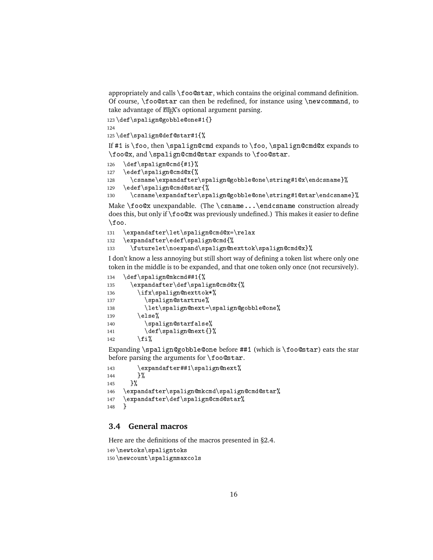appropriately and calls \foo@star, which contains the original command definition. Of course, \foo@star can then be redefined, for instance using \newcommand, to take advantage of ETEX's optional argument parsing.

```
123 \def\spalign@gobble@one#1{}
```

```
125 \def\spalign@def@star#1{%
```
If #1 is  $\text{I}$  is  $\text{I}$  is  $\text{I}$  is  $\text{I}$  is  $\text{I}$  is  $\text{I}$  is  $\text{I}$  is  $\text{I}$  is  $\text{I}$  is  $\text{I}$  is  $\text{I}$  is  $\text{I}$  is  $\text{I}$  is  $\text{I}$  is  $\text{I}$  is  $\text{I}$  is  $\text{I}$  is  $\text{I}$  is  $\text{I}$  is  $\text$ \foo@x, and \spalign@cmd@star expands to \foo@star.

```
126 \def\spalign@cmd{#1}%
```

```
127 \edef\spalign@cmd@x{%
```

```
128 \csname\expandafter\spalign@gobble@one\string#1@x\endcsname}%
```

```
129 \edef\spalign@cmd@star{%
```

```
130 \csname\expandafter\spalign@gobble@one\string#1@star\endcsname}%
```
Make \foo@x unexpandable. (The \csname...\endcsname construction already does this, but only if \foo@x was previously undefined.) This makes it easier to define \foo.

```
131 \expandafter\let\spalign@cmd@x=\relax
132 \expandafter\edef\spalign@cmd{%
133 \futurelet\noexpand\spalign@nexttok\spalign@cmd@x}%
```
I don't know a less annoying but still short way of defining a token list where only one token in the middle is to be expanded, and that one token only once (not recursively).

| 134 | \def\spalign@mkcmd##1{%                |
|-----|----------------------------------------|
| 135 | $\exp{andafter\def\sp{spinQcmdQx}}$    |
| 136 | \ifx\spalign@nexttok*%                 |
| 137 | \spalign@startrue%                     |
| 138 | \let\spalign@next=\spalign@gobble@one% |
| 139 | \else%                                 |
| 140 | \spalign@starfalse%                    |
| 141 | \def\spalign@next{}%                   |
| 142 | \fi%                                   |
|     |                                        |

Expanding \spalign@gobble@one before ##1 (which is \foo@star) eats the star before parsing the arguments for \foo@star.

```
143 \expandafter##1\spalign@next%
144 }%
145 }%
146 \expandafter\spalign@mkcmd\spalign@cmd@star%
147 \expandafter\def\spalign@cmd@star%
148 }
```
# **3.4 General macros**

Here are the definitions of the macros presented in §2.4.

```
149 \newtoks\spaligntoks
150 \newcount\spalignmaxcols
```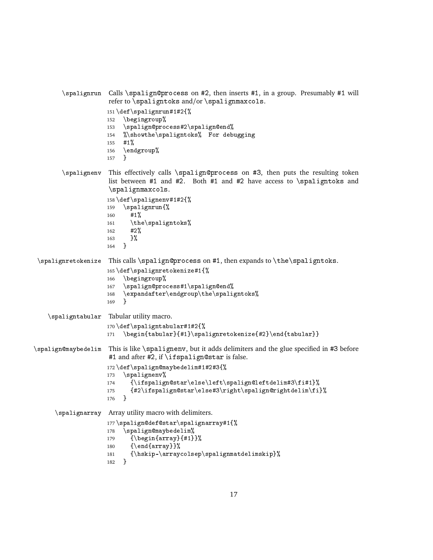```
\spalignrun Calls \spalign@process on #2, then inserts #1, in a group. Presumably #1 will
                     refer to \spaligntoks and/or \spalignmaxcols.
                     151 \def\spalignrun#1#2{%
                     152 \begingroup%
                     153 \spalign@process#2\spalign@end%
                     154 %\showthe\spaligntoks% For debugging
                     155 #1%
                     156 \endgroup%
                     157 }
        \spalignenv This effectively calls \spalign@process on #3, then puts the resulting token
                     list between #1 and #2. Both #1 and #2 have access to \spadesuit and \spadesuit\spalignmaxcols.
                     158 \def\spalignenv#1#2{%
                     159 \spalignrun{%
                     160 #1%
                     161 \the\spaligntoks%
                     162 #2%
                     163 }%
                     164 }
 \spalignretokenize This calls \spalign@process on #1, then expands to \the\spaligntoks.
                     165 \def\spalignretokenize#1{%
                     166 \begingroup%
                     167 \spalign@process#1\spalign@end%
                     168 \expandafter\endgroup\the\spaligntoks%
                     169 }
    \spaligntabular Tabular utility macro.
                     170 \def\spaligntabular#1#2{%
                     171 \begin{tabular}{#1}\spalignretokenize{#2}\end{tabular}}
\spalign@maybedelim This is like \spalignenv, but it adds delimiters and the glue specified in #3 before
                     #1 and after #2, if \ifspalign@star is false.
                     172 \def\spalign@maybedelim#1#2#3{%
                     173 \spalignenv%
                     174 {\ifspalign@star\else\left\spalign@leftdelim#3\fi#1}%
                     175 {#2\ifspalign@star\else#3\right\spalign@rightdelim\fi}%
                     176 }
      \spalignarray Array utility macro with delimiters.
                     177 \spalign@def@star\spalignarray#1{%
                     178 \spalign@maybedelim%
                     179 {\begin{subarray}{c}179\end{subarray}}180 {\end{array}}%
                     181 {\hskip-\arraycolsep\spalignmatdelimskip}%
                     182 }
```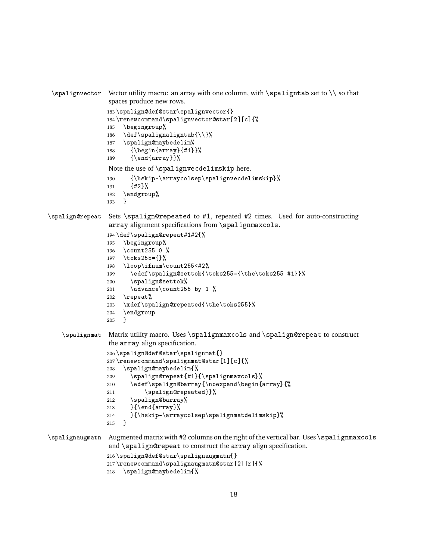```
\spalignvector Vector utility macro: an array with one column, with \spaligntab set to \\ so that
                 spaces produce new rows.
                 183 \spalign@def@star\spalignvector{}
                 184 \renewcommand\spalignvector@star[2][c]{%
                 185 \begingroup%
                 186 \def\spalignaligntab{\\}%
                 187 \spalign@maybedelim%
                 188 {\begin{array}{#1}}%
                 189 {\end{array}}%
                 Note the use of \spalignvecdelimskip here.
                 190 {\hskip-\arraycolsep\spalignvecdelimskip}%
                 191 {#2}%
                 192 \endgroup%
                 193 }
\spalign@repeat Sets \spalign@repeated to #1, repeated #2 times. Used for auto-constructing
                 array alignment specifications from \spalignmaxcols.
                 194 \def\spalign@repeat#1#2{%
                 195 \begingroup%
                 196 \count255=0 %
                 197 \toks255={}%
                 198 \loop\ifnum\count255<#2%
                 199 \edef\spalign@settok{\toks255={\the\toks255 #1}}%
                 200 \spalign@settok%
                 201 \ddot{\ }count255 by 1 %
                 202 \repeat%
                 203 \xdef\spalign@repeated{\the\toks255}%
                 204 \ \end{group} 205 \}205\spalignmat Matrix utility macro. Uses \spalignmaxcols and \spalign@repeat to construct
                 the array align specification.
                 206 \spalign@def@star\spalignmat{}
                 207 \renewcommand\spalignmat@star[1][c]{%
                 208 \spalign@maybedelim{%
                 209 \spalign@repeat{#1}{\spalignmaxcols}%
                 210 \edef\spalign@barray{\noexpand\begin{array}{%
                 211 \spalign@repeated}}%
                 212 \spalign@barray%
                 213 }{\end{array}%
                214 }{\hskip-\arraycolsep\spalignmatdelimskip}%
                 215 - 1\spalignaugmatn Augmented matrix with #2 columns on the right of the vertical bar. Uses \spalignmaxcols
                 and \spalign@repeat to construct the array align specification.
                 216 \spalign@def@star\spalignaugmatn{}
                 217 \renewcommand\spalignaugmatn@star[2][r]{%
                 218 \spalign@maybedelim{%
```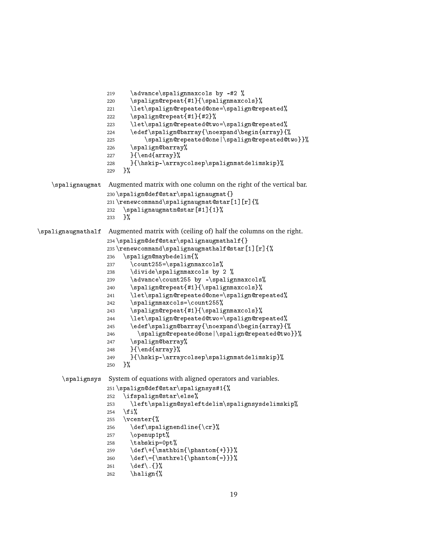```
219 \advance\spaligmaxcols by -#2 %220 \spalign@repeat{#1}{\spalignmaxcols}%
                   221 \let\spalign@repeated@one=\spalign@repeated%
                   222 \spalign@repeat{#1}{#2}%
                   223 \let\spalign@repeated@two=\spalign@repeated%
                   224 \edef\spalign@barray{\noexpand\begin{array}{%
                   225 \spalign@repeated@one|\spalign@repeated@two}}%
                   226 \spalign@barray%
                   227 }{\end{array}%
                   228 }{\hskip-\arraycolsep\spalignmatdelimskip}%
                   229 }%
   \spalignaugmat Augmented matrix with one column on the right of the vertical bar.
                   230 \spalign@def@star\spalignaugmat{}
                   231 \renewcommand\spalignaugmat@star[1][r]{%
                   232 \spalignaugmatn@star[#1]{1}%
                   233 }%
\spalignaugmathalf Augmented matrix with (ceiling of) half the columns on the right.
                   234 \spalign@def@star\spalignaugmathalf{}
                   235 \renewcommand\spalignaugmathalf@star[1][r]{%
                   236 \spalign@maybedelim{%
                   237 \count255=\spalignmaxcols%
                   238 \divide\spalignmaxcols by 2 %
                   239 \advance\count255 by -\spalignmaxcols%
                   240 \spalign@repeat{#1}{\spalignmaxcols}%
                   241 \let\spalign@repeated@one=\spalign@repeated%
                   242 \spalignmaxcols=\count255%
                   243 \spalign@repeat{#1}{\spalignmaxcols}%
                   244 \let\spalign@repeated@two=\spalign@repeated%
                   245 \edef\spalign@barray{\noexpand\begin{array}{%
                   246 \spalign@repeated@one|\spalign@repeated@two}}%
                   247 \spalign@barray%
                   248 }{\end{array}%
                   249 }{\hskip-\arraycolsep\spalignmatdelimskip}%
                   250 \frac{1}{6}\spalignsys System of equations with aligned operators and variables.
                   251 \spalign@def@star\spalignsys#1{%
                   252 \ifspalign@star\else%
                   253 \left\spalign@sysleftdelim\spalignsysdelimskip%
                   254 \fi%
                   255 \vcenter{%
                   256 \def\spalignendline{\cr}%
                   257 \openup1pt%
                   258 \tabskip=0pt%
                   259 \det\+\{\nabin{\phi}\260 \def\={\mathrel{\phantom{=}}}%
                   261 \def\.{}%
                   262 \halign{%
```